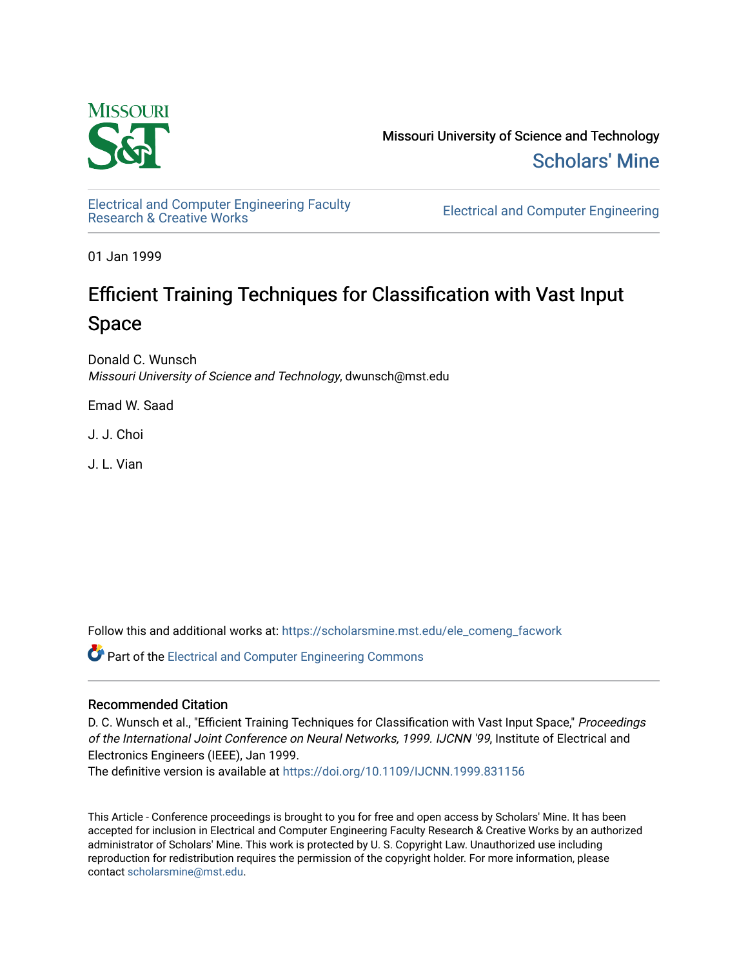

Missouri University of Science and Technology [Scholars' Mine](https://scholarsmine.mst.edu/) 

[Electrical and Computer Engineering Faculty](https://scholarsmine.mst.edu/ele_comeng_facwork)

**Electrical and Computer Engineering** 

01 Jan 1999

# Efficient Training Techniques for Classification with Vast Input Space

Donald C. Wunsch Missouri University of Science and Technology, dwunsch@mst.edu

Emad W. Saad

J. J. Choi

J. L. Vian

Follow this and additional works at: [https://scholarsmine.mst.edu/ele\\_comeng\\_facwork](https://scholarsmine.mst.edu/ele_comeng_facwork?utm_source=scholarsmine.mst.edu%2Fele_comeng_facwork%2F1000&utm_medium=PDF&utm_campaign=PDFCoverPages)

**C** Part of the Electrical and Computer Engineering Commons

# Recommended Citation

D. C. Wunsch et al., "Efficient Training Techniques for Classification with Vast Input Space," Proceedings of the International Joint Conference on Neural Networks, 1999. IJCNN '99, Institute of Electrical and Electronics Engineers (IEEE), Jan 1999.

The definitive version is available at <https://doi.org/10.1109/IJCNN.1999.831156>

This Article - Conference proceedings is brought to you for free and open access by Scholars' Mine. It has been accepted for inclusion in Electrical and Computer Engineering Faculty Research & Creative Works by an authorized administrator of Scholars' Mine. This work is protected by U. S. Copyright Law. Unauthorized use including reproduction for redistribution requires the permission of the copyright holder. For more information, please contact [scholarsmine@mst.edu](mailto:scholarsmine@mst.edu).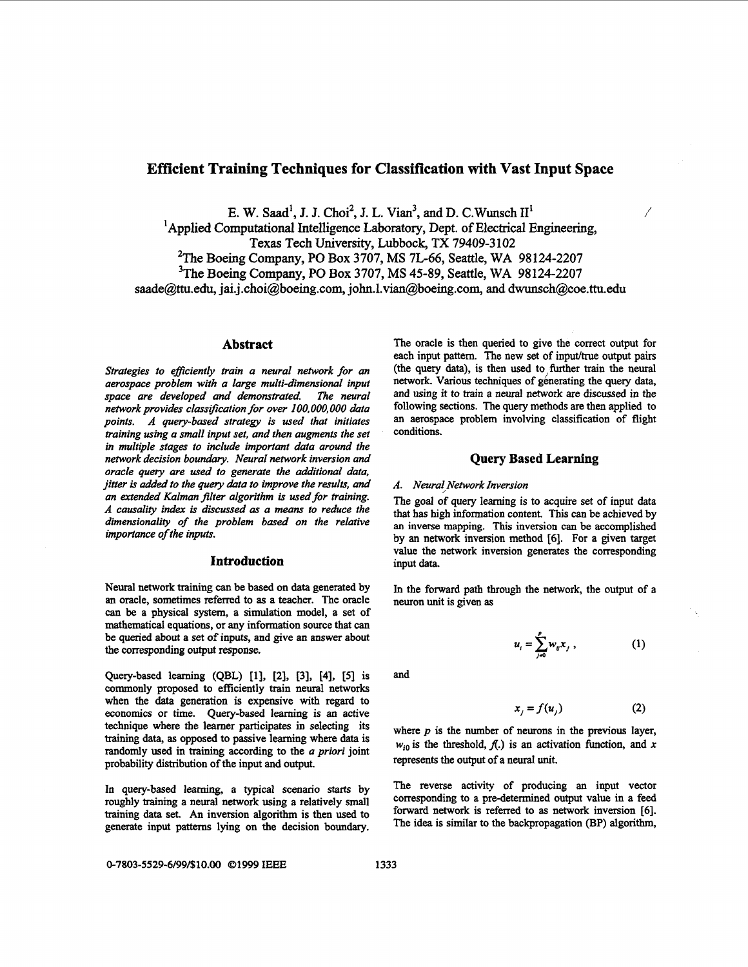# **Efficient Training Techniques for Classifcation with Vast Input Space**

E. W. Saad<sup>1</sup>, J. J. Choi<sup>2</sup>, J. L. Vian<sup>3</sup>, and D. C. Wunsch  $H<sup>1</sup>$ 

<sup>1</sup>Applied Computational Intelligence Laboratory, Dept. of Electrical Engineering, Texas Tech University, Lubbock, TX 79409-3 102

2The Boeing Company, PO Box 3707, MS 7L-66, Seattle, WA 98124-2207

<sup>3</sup>The Boeing Company, PO Box 3707, MS 45-89, Seattle, WA 98124-2207

[saade@ttu.edu,](mailto:saade@ttu.edu) jai.j.choi@boeing.com, john.l.vian@boeing.com, and [dwunsch@coe.ttu.edu](mailto:dwunsch@coe.ttu.edu)

# **Abstract**

*Strategies to eficiently train a neural network for an aerospace problem with a large multi-dimensional input*  space are developed and demonstrated. The neural *network provides classifcation for over lOO,OOO, 000 data points. A query-based strategy* **is** *used that initiates training using a small input set, and then augments the set in multiple stages to include important data around the network decision boundary. Neural network inversion and oracle query are used to generate the additional data, jitter is added to the query data to improve the results, and an extended Kalman filter algorithm is used for training. A causality index* **is** *discussed* **as** *a means to reduce the dimensionality of the problem based on the relative importance of the inputs.* 

#### **Introduction**

Neural network training can be based on **data** generated by **an** oracle, sometimes referred to **as** a teacher. The oracle can be a physical system, a simulation model, a set of mathematical equations, or any information source that can be queried about a set of inputs, and give an answer about the corresponding output response.

Query-based learning (QBL) [1], [2], [3], [4], [5] is commonly proposed to efficiently train neural networks when the **data** generation is expensive with regard to economics or time. Query-based learning is **an** active technique where the learner participates in selecting its training **data, as** opposed to passive learning where **data** is randomly used in training according to the *a priori* joint probability distribution of the input and output.

In query-based learning, a typical scenario *starts* by roughly training a neural network using a relatively small training **data** set. *An* inversion algorithm is then used to generate input patterns lying on the decision boundary.

*0-7803-5529-6/99/\$10.00 01999* **IEEE** *1333* 

The oracle is then queried to give the correct output for each input pattern. The new set of input/true output pairs (the query **data),** is then used to,further train the neural network. Various techniques of generating the query **data,**  and using it to train a neural network are discussed in the following **sections.** The query methods are then applied to an aerospace problem involving classification of flight conditions.

# **Query Based Learning**

## **A.** Neural Network Inversion

The goal of query learning is to acquire set of input data that has high information content. This can be achieved by **an** inverse mapping. This inversion can be accomplished by an network inversion method *[6].* For a given target value the network inversion generates the corresponding input **data.** 

In the forward path through the network, the output of a neuron unit is given **as** 

$$
u_i = \sum_{j=0}^p w_{ij} x_j , \qquad (1)
$$

/

and

$$
x_j = f(u_j) \tag{2}
$$

where  $p$  is the number of neurons in the previous layer,  $w_{i0}$  is the threshold,  $f(.)$  is an activation function, and x represents the output of a neural unit.

The reverse activity of producing an input vector corresponding to a pre-determined output value in a feed forward network is referred to **as** network inversion **[6].**  The idea is similar to the backpropagation **(BP)** algorithm,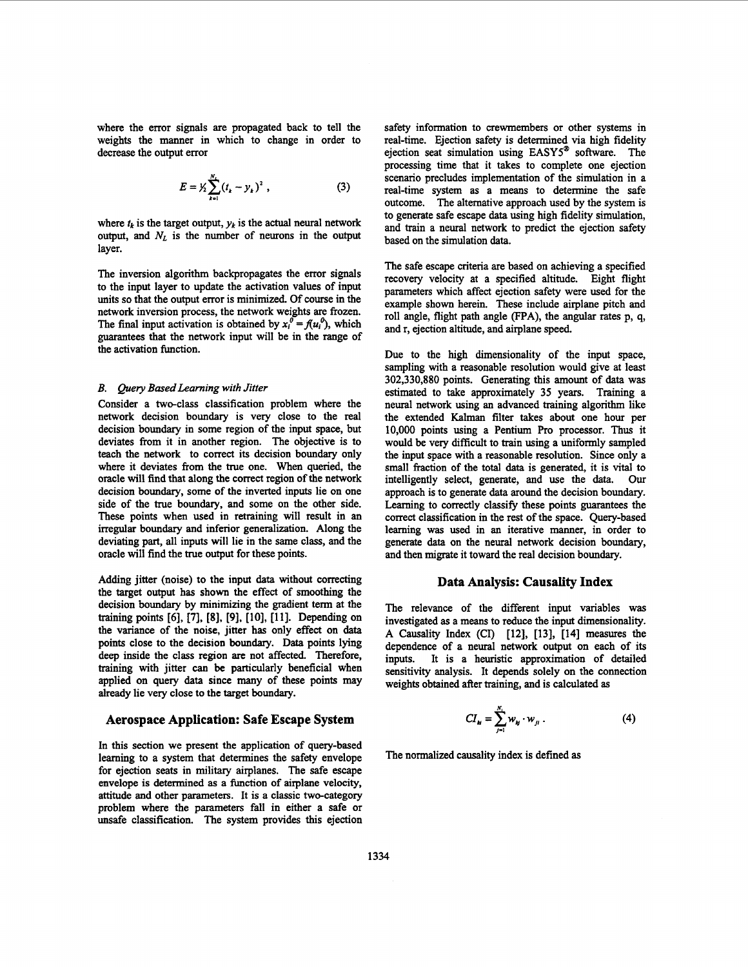where the error signals are propagated back to tell the weights the manner in which to change in order to decrease the output error

$$
E = \frac{1}{2} \sum_{k=1}^{N_t} (t_k - y_k)^2 \tag{3}
$$

where  $t_k$  is the target output,  $y_k$  is the actual neural network output, and  $N_L$  is the number of neurons in the output layer.

The inversion algorithm backpropagates the error signals to the input layer to update the activation values of input units **so** that the output error is minimized. Of course in the network inversion process, the network weights are frozen. The final input activation is obtained by  $x_i^0 = f(u_i^0)$ , which guarantees that the network input will be in the range of the activation function.

# *B. Query Based Learning with Jitter*

Consider a two-class classification problem where the network decision boundary is very close to the real decision boundary in some region of the input space, but deviates from it in another region. The objective is to teach the network to correct its decision boundary only where it deviates from the true one. When queried, the oracle will find that along the correct region of the network decision boundary, some of the inverted inputs lie on one side of the true boundary, and some on the other side. These points when used in retraining will result in an irregular boundary and inferior generalization. Along the deviating part, all inputs will lie in the same class, and the oracle will find the true output for these points.

Adding jitter (noise) to the input data without correcting the target output has shown the effect of smoothing the decision boundary by minimizing the gradient term at the training points [6], [7], **[8],** *[9].* [lo], [ll]. Depending on the variance of the noise, jitter has only effect on data points close to the decision boundary. Data points lying deep inside the class region *are* not affected. Therefore, training with jitter *can* **be** particularly beneficial when applied on query data since many of these points may already lie very close to the target boundary.

# **Aerospace Application: Safe Escape System**

In this section we present the application of query-based learning to a system that determines the safety envelope for ejection seats in military airplanes. The safe escape envelope is determined as a function of airplane velocity, attitude and other parameters. It is a classic two-category problem **where** the parameters fall in either a safe or unsafe classification. The system provides this ejection safety information to crewmembers or other systems in real-time. Ejection safety is determined via high fidelity ejection seat simulation using  $EASYS^*$  software. The processing time that it takes to complete one ejection scenario precludes implementation of the simulation in a real-time system as a means to determine the safe outcome. The alternative approach used by the system is to generate safe escape data using high fidelity simulation, and train a neural network to predict the ejection safety based on the simulation data.

The safe escape criteria are based on achieving a specified recovery velocity at a specified altitude. Eight flight parameters which affect ejection safety were used for the example shown herein. These include airplane pitch and roll angle, flight path angle (FPA), the angular rates p, q, and r, ejection altitude, and airplane speed.

Due to the high dimensionality of the input space, sampling with **a** reasonable resolution would give at least **302,330,880** points. Generating this amount of data was estimated to take approximately **35** years. Training a neural network using an advanced training algorithm like the extended Kalman filter takes about one hour per 10,000 points using a Pentium **Pro** processor. Thus it would be very difficult to train using a uniformly sampled the input space with a reasonable resolution. Since only a small fraction of the total data is generated, it is vital to intelligently select, generate, and use the data. Our approach is to generate data around the decision boundary. Learning to correctly classify these points guarantees the correct classification in the rest of the space. Query-based learning was used in an iterative manner, in order to generate data on the neural network decision boundary, and then migrate it toward the real decision boundary.

#### **Data Analysis: Causality Index**

The relevance of the different input variables was investigated **as** a means to reduce the input dimensionality. A Causality Index (CI) **[12], [13],** [I41 measures the dependence of a neural network output on each of its inputs. It is a heuristic approximation of detailed sensitivity analysis. It depends solely on the connection weights obtained after training, and is calculated **as** 

$$
CI_{\mu} = \sum_{j=1}^{N_1} w_{\mu} \cdot w_{\mu} \,. \tag{4}
$$

The normalized causality index is defined **as**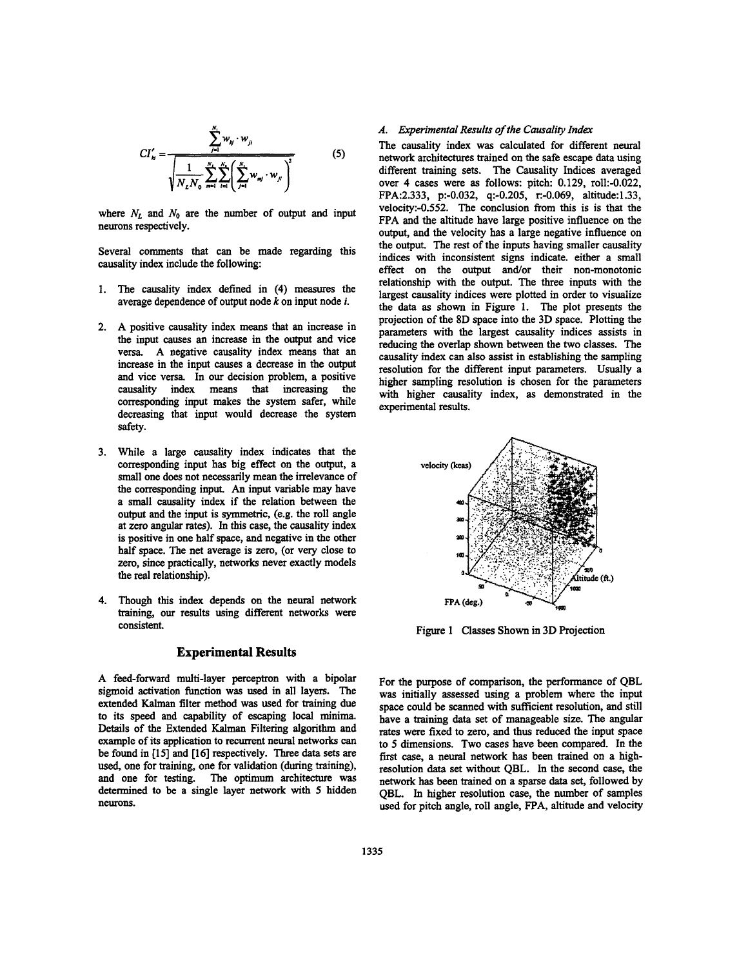$$
CI'_{\mu} = \frac{\sum_{j=1}^{N} w_{kj} \cdot w_{ji}}{\sqrt{\frac{1}{N_L N_0} \sum_{m=1}^{N_L} \sum_{l=1}^{N} \left(\sum_{j=1}^{N_L} w_{mj} \cdot w_{jl}\right)^2}}
$$
(5)

where  $N_L$  and  $N_0$  are the number of output and input neurons respectively.

Several comments that can be made regarding this causality index include the following:

- The causality index defined in **(4)** measures the average dependence of output node *k* on input node *i.*
- A positive causality index means that an increase in the input causes an increase in the output and vice versa. A negative causality index means that an increase in the input causes a decrease in the output and vice versa. In our decision problem, a positive causality index means that increasing the corresponding input makes the system safer, while decreasing that input would decrease the system safety.
- While a large causality index indicates that the corresponding input has big effect on the output, a small one does not necessarily mean the irrelevance of the corresponding input. *An* input variable may have a small causality index if the relation between the output and the input is symmetric, (e.g. the roll angle at **zero** angular rates). In this case, the causality index is positive in one half space, and negative in the other half space. The net average is zero, (or very close to zero, since practically, networks never exactly models the real relationship).
- Though this index depends on the neural network training, our results using different networks were consistent.

# **Experimental Results**

A feed-forward multi-layer perceptron with a bipolar sigmoid activation function was used in all layers. The extended Kalman filter method was used for training due to its speed and capability of escaping local minima. Details of the Extended Kalman Filtering algorithm and example of its application to recurrent neural networks can be found in [15] and [16] respectively. Three data sets are used, one for training, one for validation (during training), and one for testing. The optimum architecture was determined *to* be a single layer network with *5* hidden neurons.

# *A. Experimental Results of the Causality Index*

The causality index was calculated for different neural network architectures trained on the safe escape data using different training sets. The Causality Indices averaged over 4 cases were as follows: pitch: 0.129, roll:-0.022, FPA:2.333, p:-0.032, q:-0.205, r:-0.069, altitude:1.33, velocity:-0.552. The conclusion from this is is that the FPA and the altitude have large positive influence on the output, and the velocity **has** a large negative influence on the output. The rest of the inputs having smaller causality indices with inconsistent signs indicate. either a small effect on the output and/or their non-monotonic relationship with the output. The three inputs with the largest causality indices were plotted in order to visualize the data **as** shown in Figure 1. The plot presents the projection of the 8D space into the 3D space. Plotting the parameters with the largest causality indices assists in reducing the overlap shown between the two classes. The causality index can also assist in establishing the sampling resolution for the different input parameters. Usually a higher sampling resolution is chosen for the parameters with higher causality index, **as** demonstrated in the experimental results.



Figure 1 Classes Shown in 3D Projection

For the purpose of comparison, the performance of QBL was initially assessed using a problem where the input space could be scanned with sufficient resolution, and still have a training data set of manageable size. The angular rates were fixed to zero, and thus reduced the input space to *5* dimensions. Two cases have been compared. In the first case, a neural network has been trained on a highresolution data set without QBL. In the second case, the network has been trained on a sparse data set, followed by QBL. In higher resolution case, the number of samples used for pitch angle, roll angle, FPA, altitude and velocity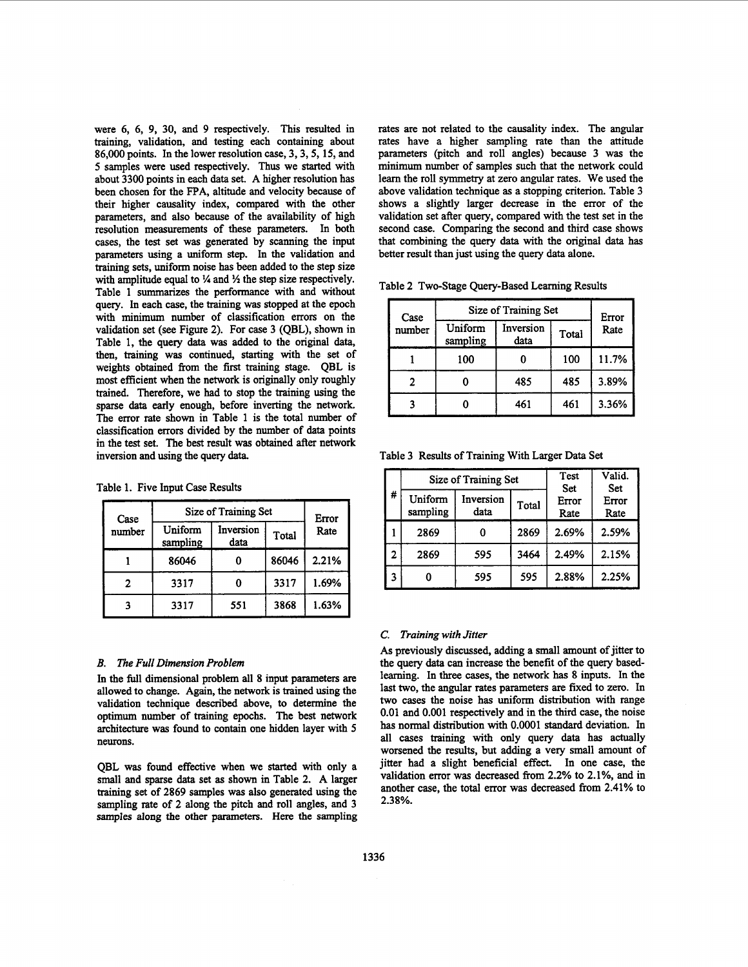<span id="page-4-0"></span>were **6, 6, 9, 30,** and **9** respectively. This resulted in training, validation, and testing each containing about **86,000** points. In the lower resolution case, **3,3,5, 15,** and **5** samples were used respectively. Thus we started with about **3300** points in each data set. A higher resolution has been chosen for the FPA, altitude and velocity because of their higher causality index, compared with the other parameters, and also because of the availability of high resolution measurements of these parameters. In both cases, the test set was generated by scanning the input parameters using a uniform step. In the validation and training sets, uniform noise has been added to the step size with amplitude equal to  $\frac{1}{4}$  and  $\frac{1}{2}$  the step size respectively. Table **1** summarizes the performance with and without query. In each case, the training was stopped at the epoch with minimum number of classification errors on the validation set (see Figure **2).** For case **3** (QBL), shown in Table 1, the query data was added to the original data, then, training was continued, starting with the set of weights obtained from the **first** training stage. QBL is most efficient when the network is originally only roughly trained. Therefore, we had to stop the training using the sparse data early enough, before inverting the network. The error rate shown in Table 1 is the total number of classification errors divided by the number of data points in the test set. The best result was obtained after network inversion and using the query data.

| Case   |                     | Size of Training Set |       | Error |
|--------|---------------------|----------------------|-------|-------|
| number | Uniform<br>sampling | Inversion<br>data    | Total | Rate  |
|        | 86046               |                      | 86046 | 2.21% |
| 2      | 3317                |                      | 3317  | 1.69% |
|        | 3317                | 551                  | 3868  | 1.63% |

Table **1.** Five Input Case Results

## *B. The Full Dimension Problem*

In the full dimensional problem all **8** input parameters **are**  allowed to change. Again, the network is trained using the validation technique described above, to determine the optimum number of training epochs. The best network architecture was found to contain one hidden layer with *5*  neurons.

QBL was found effective when we started with only a small and sparse data set **as** shown in Table **2.** A larger training set of **2869** samples was also generated using the sampling rate of **2** along the pitch and roll angles, and **3**  samples **along** the **other** parameters. **Here** the sampling

rates are not related to the causality index. The angular rates have a higher sampling rate than the attitude parameters (pitch and roll angles) because **3** was the minimum number of samples such that the network could learn the roll symmetry at zero angular rates. We used the above validation technique **as** a stopping criterion. Table 3 shows a slightly larger decrease in the error of the validation set after query, compared with the test set in the second case. Comparing the second and third case shows that combining the query data with the original data has better result than just using the query data alone.

|  |  | Table 2 Two-Stage Query-Based Learning Results |  |  |
|--|--|------------------------------------------------|--|--|
|--|--|------------------------------------------------|--|--|

| Case   |                     | Size of Training Set |       | Error |
|--------|---------------------|----------------------|-------|-------|
| number | Uniform<br>sampling | Inversion<br>data    | Total | Rate  |
|        | 100                 |                      | 100   | 11.7% |
|        |                     | 485                  | 485   | 3.89% |
|        |                     | 461                  | 461   | 3.36% |

Table **3** Results of Training With Larger Data Set

|                | Size of Training Set |                            | Test<br>Set   | Valid.<br>Set |       |
|----------------|----------------------|----------------------------|---------------|---------------|-------|
| #              | Uniform<br>sampling  | Inversion<br>Total<br>data | Error<br>Rate | Error<br>Rate |       |
| -1             | 2869                 | 0                          | 2869          | 2.69%         | 2.59% |
| $\overline{2}$ | 2869                 | 595                        | 3464          | 2.49%         | 2.15% |
| IЗ             | 0                    | 595                        | 595           | 2.88%         | 2.25% |

#### *C. Training with Jitter*

As previously discussed, adding a small amount of jitter to the query data can increase the benefit of the query basedlearning. In three cases, the network **has 8** inputs. In the last **two,** the angular rates parameters are fixed to zero. In two cases the noise has uniform distribution with range 0.01 and **0.001** respectively and in the third case, the noise has normal distribution with **0.0001** standard deviation. In all cases training with only query data has actually worsened the results, but adding a very small amount of jitter had a slight beneficial effect. In one case, the validation error was decreased from **2.2%** to **2.1%,** and in another case, the total error was decreased from **2.41%** to **2.38%.**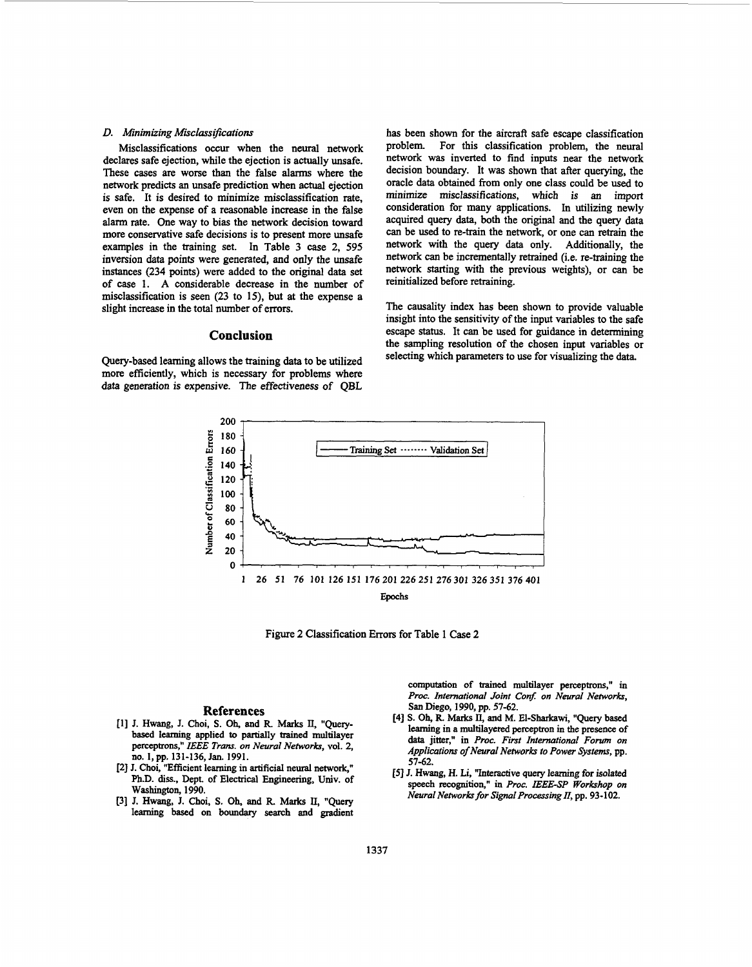#### *D. Minimizing Misclassifications*

Misclassifications occur when the neural network declares safe ejection, while the ejection is actually unsafe. These cases are worse than the false alarms where the network predicts an unsafe prediction when actual ejection is safe. It is desired to minimize misclassification rate, even on the expense of a reasonable increase in the false alarm rate. One way to bias the network decision toward more conservative safe decisions is to present more unsafe examples in the training set. In [Table 3](#page-4-0) case 2, *595*  inversion data points were generated, and only the unsafe instances **(234** points) were added to the original data set of case 1. A considerable decrease in the number of misclassification is seen **(23** to **IS),** but at the expense a slight increase in the total number of errors.

#### **Conclusion**

Query-based learning allows the training data to be utilized more efficiently, which is necessary for problems where data generation is expensive. The effectiveness of **QBL** 

has been shown for the aircraft safe escape classification problem. For this classification problem, the neural network was inverted to find inputs near the network decision boundary. It **was** shown that after querying, the oracle data obtained from only one class could be used to minimize misclassifications, which is an import consideration for many applications. In utilizing newly acquired query data, both the original and the query data can be used to re-train the network, or one can retrain the network with the query data only. Additionally, the network can be incrementally retrained (i.e. re-training the network starting with the previous weights), or can be reinitialized before retraining.

The causality index has been shown to provide valuable insight into the sensitivity of the input variables to the safe escape **status.** It can be used for guidance in determining the sampling resolution of the chosen input variables or selecting which parameters to use for visualizing the data.



Figure **2** Classification **Errors** for [Table 1](#page-4-0) Case 2

#### **References**

- [l] J. Hwang, J. Choi, **S. Oh,** and R Marks 11, "Querybased learning applied to partially trained multilayer perceptmu," IEEE *Tram.* on *Neural Network,* vol. 2, no. 1,pp. 131-136, Jan. 1991.
- (21 J. Choi, "Efficient learning in artificial neural network," **Ph.D. diss.,** Dept. of Electrical Engineering, **Univ.** of Washington, 1990.
- [3] J. Hwang, J. Choi, **S. Oh,** and R **Marks** 11, "Query learning based on **boundary** search **and** gradient

computation of trained multilayer perceptrons," in Proc. International Joint Conf. on Neural Networks, San Diego, 1990, pp. 57-62.

- [4] **S. Oh, R.** Marks 11, and M. **El-Sharkawi,** l'Query based leaming in a multilayered perceptron in the presence of **data** jitter," in *Proc. First International Forum on Applications of Neural Networh to Power Systems,* pp. **57-62.**
- *[5]* J. Hwang, H. *Li,* "Interactive query learning for isolated speech recognition," in Proc. **IEEE-SP** Workshop on *Naral Networh for Signal Processing 11,* pp. 93-102.